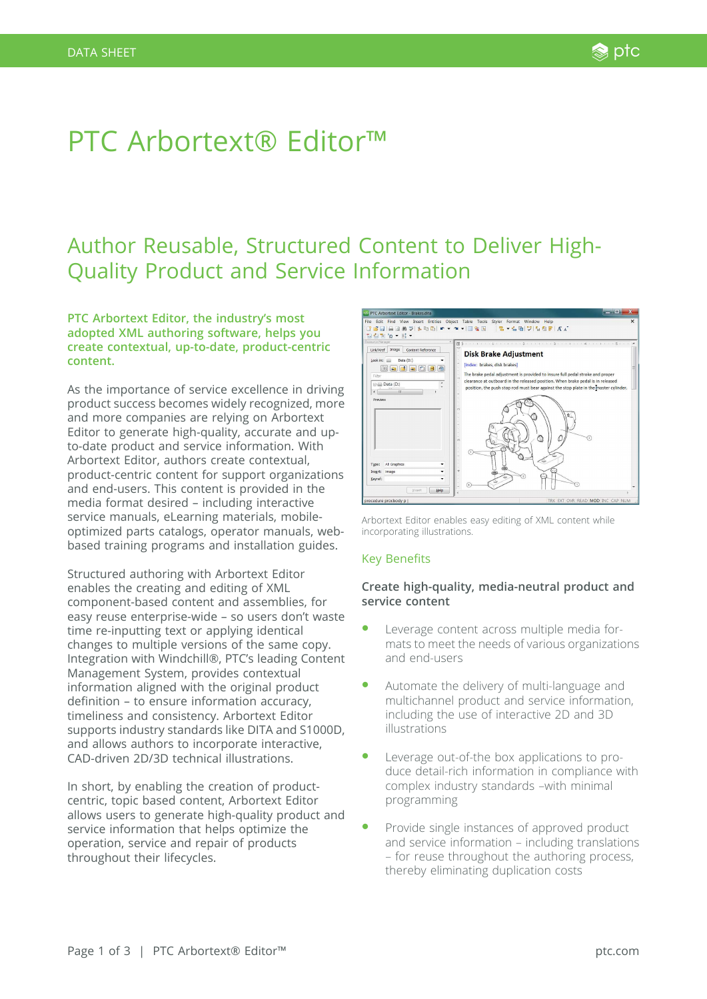# PTC Arbortext® Editor™

# Author Reusable, Structured Content to Deliver High-Quality Product and Service Information

**PTC Arbortext Editor, the industry's most adopted XML authoring software, helps you create contextual, up-to-date, product-centric content.**

As the importance of service excellence in driving product success becomes widely recognized, more and more companies are relying on Arbortext Editor to generate high-quality, accurate and upto-date product and service information. With Arbortext Editor, authors create contextual, product-centric content for support organizations and end-users. This content is provided in the media format desired – including interactive service manuals, eLearning materials, mobileoptimized parts catalogs, operator manuals, webbased training programs and installation guides.

Structured authoring with Arbortext Editor enables the creating and editing of XML component-based content and assemblies, for easy reuse enterprise-wide – so users don't waste time re-inputting text or applying identical changes to multiple versions of the same copy. Integration with Windchill®, PTC's leading Content Management System, provides contextual information aligned with the original product definition – to ensure information accuracy, timeliness and consistency. Arbortext Editor supports industry standards like DITA and S1000D, and allows authors to incorporate interactive, CAD-driven 2D/3D technical illustrations.

In short, by enabling the creation of productcentric, topic based content, Arbortext Editor allows users to generate high-quality product and service information that helps optimize the operation, service and repair of products throughout their lifecycles.



Arbortext Editor enables easy editing of XML content while incorporating illustrations.

# Key Benefits

# **Create high-quality, media-neutral product and service content**

- Leverage content across multiple media formats to meet the needs of various organizations and end-users
- � Automate the delivery of multi-language and multichannel product and service information, including the use of interactive 2D and 3D illustrations
- Leverage out-of-the box applications to produce detail-rich information in compliance with complex industry standards –with minimal programming
- � Provide single instances of approved product and service information – including translations – for reuse throughout the authoring process, thereby eliminating duplication costs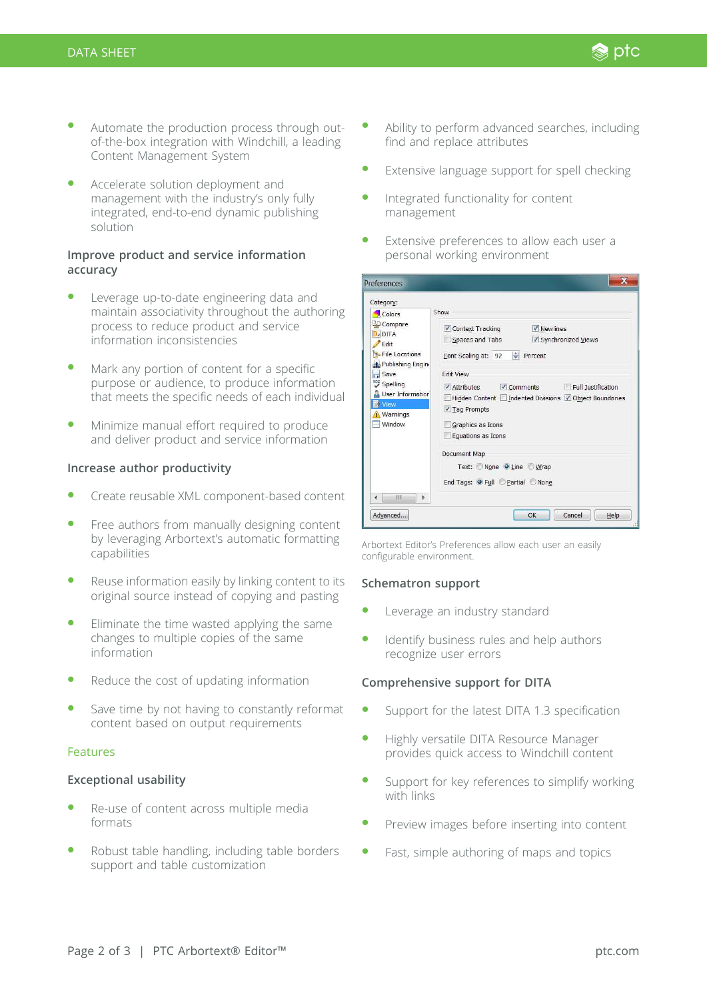- Automate the production process through outof-the-box integration with Windchill, a leading Content Management System
- Accelerate solution deployment and management with the industry's only fully integrated, end-to-end dynamic publishing solution

# **Improve product and service information accuracy**

- Leverage up-to-date engineering data and maintain associativity throughout the authoring process to reduce product and service information inconsistencies
- Mark any portion of content for a specific purpose or audience, to produce information that meets the specific needs of each individual
- Minimize manual effort required to produce and deliver product and service information

# **Increase author productivity**

- Create reusable XML component-based content
- Free authors from manually designing content by leveraging Arbortext's automatic formatting capabilities
- Reuse information easily by linking content to its original source instead of copying and pasting
- Eliminate the time wasted applying the same changes to multiple copies of the same information
- Reduce the cost of updating information
- Save time by not having to constantly reformat content based on output requirements

# Features

# **Exceptional usability**

- � Re-use of content across multiple media formats
- Robust table handling, including table borders support and table customization

� Ability to perform advanced searches, including find and replace attributes

Standard ptc

- Extensive language support for spell checking
- Integrated functionality for content management
- Extensive preferences to allow each user a personal working environment

| Category:                                                                                                                                                                                 |                                                                                                                                                                                                                                                                                                                                          |
|-------------------------------------------------------------------------------------------------------------------------------------------------------------------------------------------|------------------------------------------------------------------------------------------------------------------------------------------------------------------------------------------------------------------------------------------------------------------------------------------------------------------------------------------|
| Colors<br>Compare<br>$D$ DITA<br><sup>'</sup> Edit<br>File Locations<br>Publishing Engine<br>Save<br><b>Spelling</b><br><b>User Information</b><br>View<br>Warnings<br>- Window<br>Ш<br>ь | Show<br>$\sqrt{}$ Newlines<br>✔ Context Tracking<br>Synchronized Views<br>Spaces and Tabs<br>Font Scaling at: 92 Percent<br><b>Fdit View</b><br>√ Attributes √ Comments Full Justification<br>Hidden Content   Indented Divisions   Object Boundaries<br>√ Taq Prompts<br>Graphics as Icons<br>Equations as Icons<br><b>Document Map</b> |
|                                                                                                                                                                                           | Text: None O Line Wrap<br>End Tags: O Full Partial None                                                                                                                                                                                                                                                                                  |

Arbortext Editor's Preferences allow each user an easily configurable environment.

# **Schematron support**

- Leverage an industry standard
- Identify business rules and help authors recognize user errors

# **Comprehensive support for DITA**

- Support for the latest DITA 1.3 specification
- � Highly versatile DITA Resource Manager provides quick access to Windchill content
- Support for key references to simplify working with links
- Preview images before inserting into content
- Fast, simple authoring of maps and topics